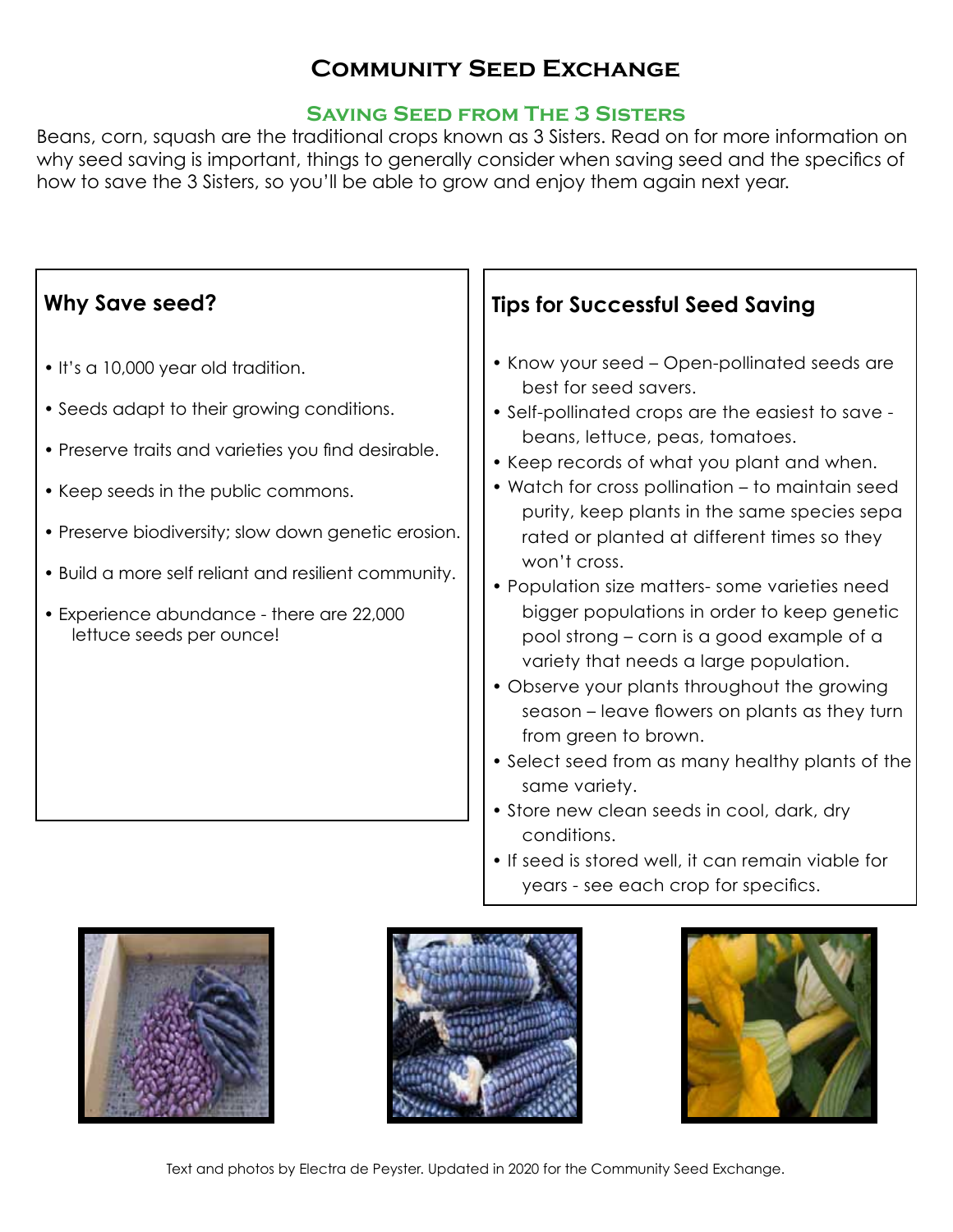# **Community Seed Exchange**

#### **Saving Seed from The 3 Sisters**

Beans, corn, squash are the traditional crops known as 3 Sisters. Read on for more information on why seed saving is important, things to generally consider when saving seed and the specifics of how to save the 3 Sisters, so you'll be able to grow and enjoy them again next year.

| <b>Why Save seed?</b>                                                                                                                                                                                                                                                                                                                                                   | <b>Tips for Successful Seed Saving</b>                                                                                                                                                                                                                                                                                                                                                                                                                                                                                                                                                                                                                                                                                                                                                                                                                                                                                          |
|-------------------------------------------------------------------------------------------------------------------------------------------------------------------------------------------------------------------------------------------------------------------------------------------------------------------------------------------------------------------------|---------------------------------------------------------------------------------------------------------------------------------------------------------------------------------------------------------------------------------------------------------------------------------------------------------------------------------------------------------------------------------------------------------------------------------------------------------------------------------------------------------------------------------------------------------------------------------------------------------------------------------------------------------------------------------------------------------------------------------------------------------------------------------------------------------------------------------------------------------------------------------------------------------------------------------|
| . It's a 10,000 year old tradition.<br>• Seeds adapt to their growing conditions.<br>• Preserve traits and varieties you find desirable.<br>• Keep seeds in the public commons.<br>• Preserve biodiversity; slow down genetic erosion.<br>. Build a more self reliant and resilient community.<br>• Experience abundance - there are 22,000<br>lettuce seeds per ounce! | • Know your seed – Open-pollinated seeds are<br>best for seed savers.<br>• Self-pollinated crops are the easiest to save -<br>beans, lettuce, peas, tomatoes.<br>• Keep records of what you plant and when.<br>• Watch for cross pollination – to maintain seed<br>purity, keep plants in the same species sepa<br>rated or planted at different times so they<br>won't cross.<br>• Population size matters- some varieties need<br>bigger populations in order to keep genetic<br>pool strong – corn is a good example of a<br>variety that needs a large population.<br>• Observe your plants throughout the growing<br>season – leave flowers on plants as they turn<br>from green to brown.<br>• Select seed from as many healthy plants of the<br>same variety.<br>• Store new clean seeds in cool, dark, dry<br>conditions.<br>• If seed is stored well, it can remain viable for<br>years - see each crop for specifics. |







Text and photos by Electra de Peyster. Updated in 2020 for the Community Seed Exchange.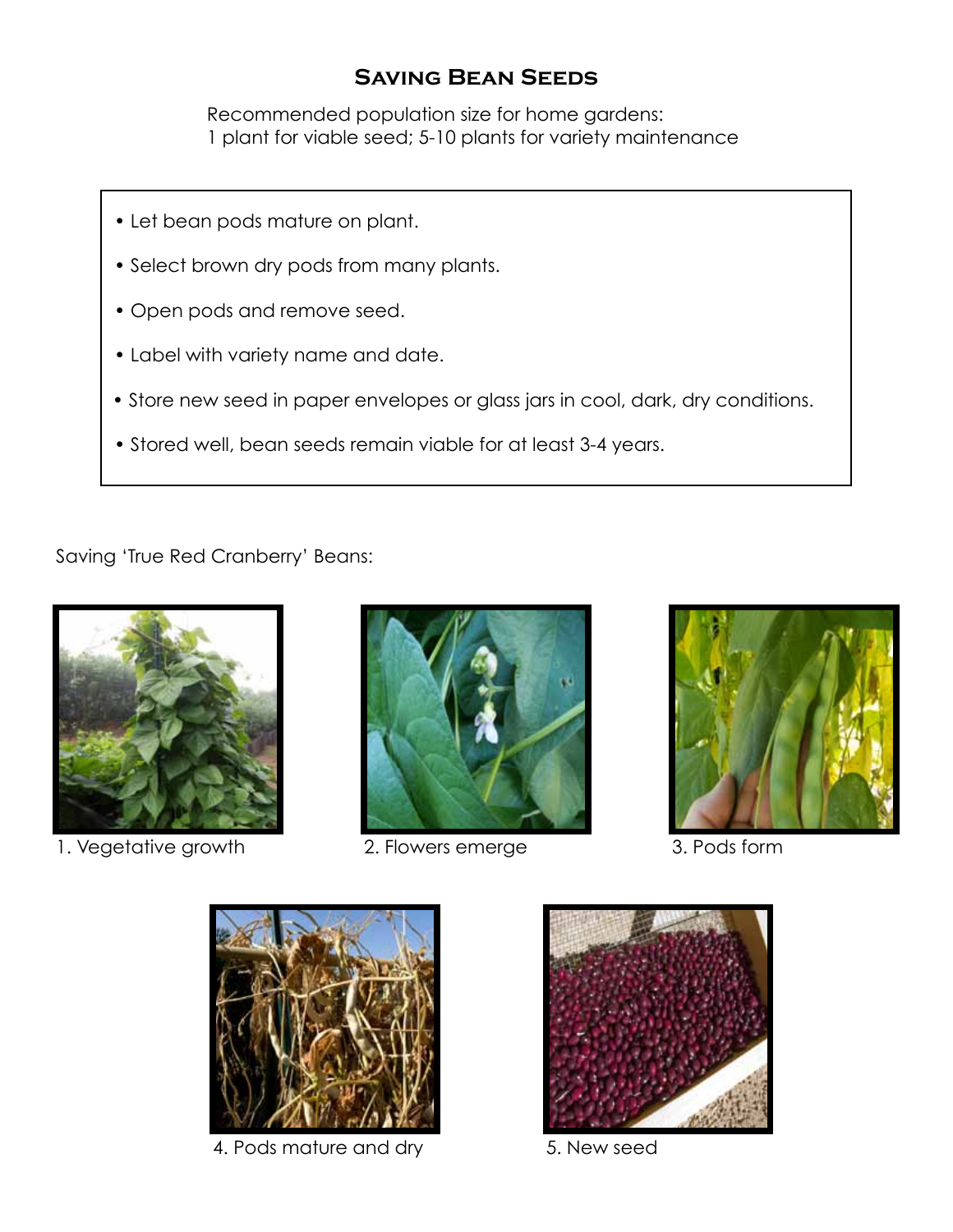### **Saving Bean Seeds**

Recommended population size for home gardens: 1 plant for viable seed; 5-10 plants for variety maintenance

- Let bean pods mature on plant.
- Select brown dry pods from many plants.
- Open pods and remove seed.
- Label with variety name and date.
- Store new seed in paper envelopes or glass jars in cool, dark, dry conditions.
- Stored well, bean seeds remain viable for at least 3-4 years.

Saving 'True Red Cranberry' Beans:



1. Vegetative growth 2. Flowers emerge 3. Pods form







4. Pods mature and dry 5. New seed

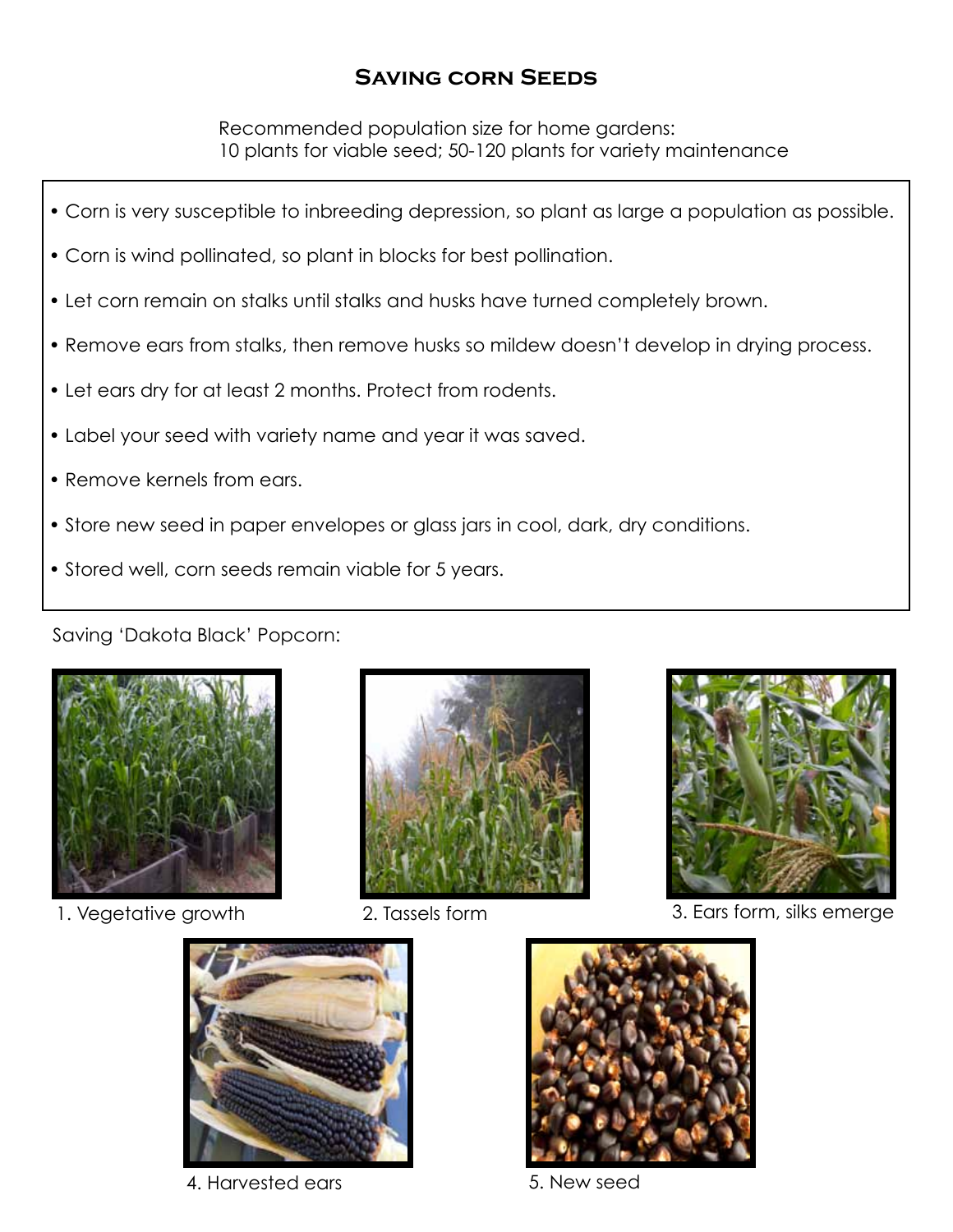## **Saving corn Seeds**

Recommended population size for home gardens: 10 plants for viable seed; 50-120 plants for variety maintenance

- Corn is very susceptible to inbreeding depression, so plant as large a population as possible.
- Corn is wind pollinated, so plant in blocks for best pollination.
- Let corn remain on stalks until stalks and husks have turned completely brown.
- Remove ears from stalks, then remove husks so mildew doesn't develop in drying process.
- Let ears dry for at least 2 months. Protect from rodents.
- Label your seed with variety name and year it was saved.
- Remove kernels from ears.
- Store new seed in paper envelopes or glass jars in cool, dark, dry conditions.
- Stored well, corn seeds remain viable for 5 years.

Saving 'Dakota Black' Popcorn:







1. Vegetative growth 2. Tassels form 3. Ears form, silks emerge



4. Harvested ears 6. New seed